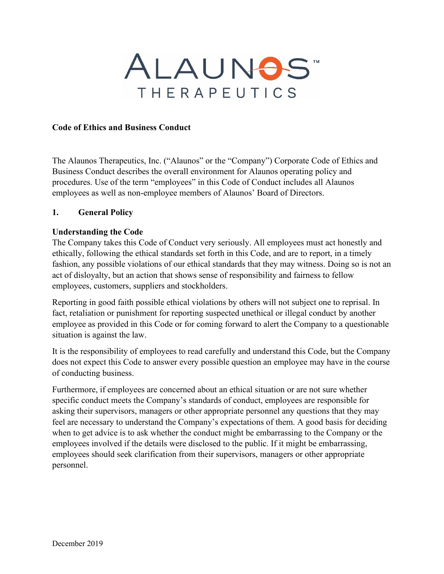

#### **Code of Ethics and Business Conduct**

The Alaunos Therapeutics, Inc. ("Alaunos" or the "Company") Corporate Code of Ethics and Business Conduct describes the overall environment for Alaunos operating policy and procedures. Use of the term "employees" in this Code of Conduct includes all Alaunos employees as well as non-employee members of Alaunos' Board of Directors.

#### **1. General Policy**

#### **Understanding the Code**

The Company takes this Code of Conduct very seriously. All employees must act honestly and ethically, following the ethical standards set forth in this Code, and are to report, in a timely fashion, any possible violations of our ethical standards that they may witness. Doing so is not an act of disloyalty, but an action that shows sense of responsibility and fairness to fellow employees, customers, suppliers and stockholders.

Reporting in good faith possible ethical violations by others will not subject one to reprisal. In fact, retaliation or punishment for reporting suspected unethical or illegal conduct by another employee as provided in this Code or for coming forward to alert the Company to a questionable situation is against the law.

It is the responsibility of employees to read carefully and understand this Code, but the Company does not expect this Code to answer every possible question an employee may have in the course of conducting business.

Furthermore, if employees are concerned about an ethical situation or are not sure whether specific conduct meets the Company's standards of conduct, employees are responsible for asking their supervisors, managers or other appropriate personnel any questions that they may feel are necessary to understand the Company's expectations of them. A good basis for deciding when to get advice is to ask whether the conduct might be embarrassing to the Company or the employees involved if the details were disclosed to the public. If it might be embarrassing, employees should seek clarification from their supervisors, managers or other appropriate personnel.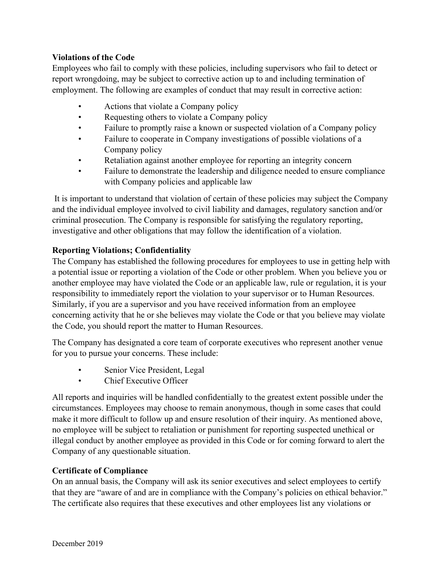### **Violations of the Code**

Employees who fail to comply with these policies, including supervisors who fail to detect or report wrongdoing, may be subject to corrective action up to and including termination of employment. The following are examples of conduct that may result in corrective action:

- Actions that violate a Company policy
- Requesting others to violate a Company policy
- Failure to promptly raise a known or suspected violation of a Company policy
- Failure to cooperate in Company investigations of possible violations of a Company policy
- Retaliation against another employee for reporting an integrity concern
- Failure to demonstrate the leadership and diligence needed to ensure compliance with Company policies and applicable law

It is important to understand that violation of certain of these policies may subject the Company and the individual employee involved to civil liability and damages, regulatory sanction and/or criminal prosecution. The Company is responsible for satisfying the regulatory reporting, investigative and other obligations that may follow the identification of a violation.

### **Reporting Violations; Confidentiality**

The Company has established the following procedures for employees to use in getting help with a potential issue or reporting a violation of the Code or other problem. When you believe you or another employee may have violated the Code or an applicable law, rule or regulation, it is your responsibility to immediately report the violation to your supervisor or to Human Resources. Similarly, if you are a supervisor and you have received information from an employee concerning activity that he or she believes may violate the Code or that you believe may violate the Code, you should report the matter to Human Resources.

The Company has designated a core team of corporate executives who represent another venue for you to pursue your concerns. These include:

- Senior Vice President, Legal
- Chief Executive Officer

All reports and inquiries will be handled confidentially to the greatest extent possible under the circumstances. Employees may choose to remain anonymous, though in some cases that could make it more difficult to follow up and ensure resolution of their inquiry. As mentioned above, no employee will be subject to retaliation or punishment for reporting suspected unethical or illegal conduct by another employee as provided in this Code or for coming forward to alert the Company of any questionable situation.

### **Certificate of Compliance**

On an annual basis, the Company will ask its senior executives and select employees to certify that they are "aware of and are in compliance with the Company's policies on ethical behavior." The certificate also requires that these executives and other employees list any violations or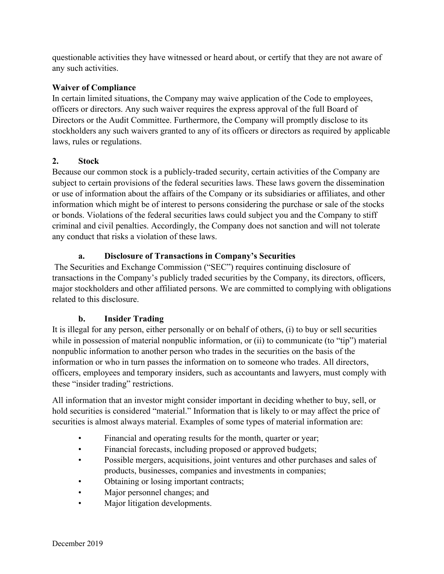questionable activities they have witnessed or heard about, or certify that they are not aware of any such activities.

### **Waiver of Compliance**

In certain limited situations, the Company may waive application of the Code to employees, officers or directors. Any such waiver requires the express approval of the full Board of Directors or the Audit Committee. Furthermore, the Company will promptly disclose to its stockholders any such waivers granted to any of its officers or directors as required by applicable laws, rules or regulations.

### **2. Stock**

Because our common stock is a publicly-traded security, certain activities of the Company are subject to certain provisions of the federal securities laws. These laws govern the dissemination or use of information about the affairs of the Company or its subsidiaries or affiliates, and other information which might be of interest to persons considering the purchase or sale of the stocks or bonds. Violations of the federal securities laws could subject you and the Company to stiff criminal and civil penalties. Accordingly, the Company does not sanction and will not tolerate any conduct that risks a violation of these laws.

### **a. Disclosure of Transactions in Company's Securities**

The Securities and Exchange Commission ("SEC") requires continuing disclosure of transactions in the Company's publicly traded securities by the Company, its directors, officers, major stockholders and other affiliated persons. We are committed to complying with obligations related to this disclosure.

# **b. Insider Trading**

It is illegal for any person, either personally or on behalf of others, (i) to buy or sell securities while in possession of material nonpublic information, or (ii) to communicate (to "tip") material nonpublic information to another person who trades in the securities on the basis of the information or who in turn passes the information on to someone who trades. All directors, officers, employees and temporary insiders, such as accountants and lawyers, must comply with these "insider trading" restrictions.

All information that an investor might consider important in deciding whether to buy, sell, or hold securities is considered "material." Information that is likely to or may affect the price of securities is almost always material. Examples of some types of material information are:

- Financial and operating results for the month, quarter or year;
- Financial forecasts, including proposed or approved budgets;
- Possible mergers, acquisitions, joint ventures and other purchases and sales of products, businesses, companies and investments in companies;
- Obtaining or losing important contracts;
- Major personnel changes; and
- Major litigation developments.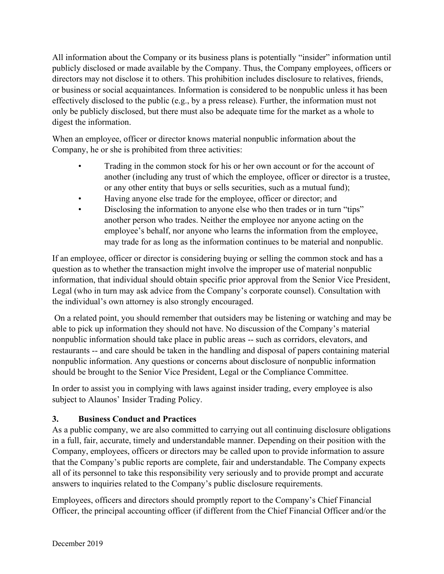All information about the Company or its business plans is potentially "insider" information until publicly disclosed or made available by the Company. Thus, the Company employees, officers or directors may not disclose it to others. This prohibition includes disclosure to relatives, friends, or business or social acquaintances. Information is considered to be nonpublic unless it has been effectively disclosed to the public (e.g., by a press release). Further, the information must not only be publicly disclosed, but there must also be adequate time for the market as a whole to digest the information.

When an employee, officer or director knows material nonpublic information about the Company, he or she is prohibited from three activities:

- Trading in the common stock for his or her own account or for the account of another (including any trust of which the employee, officer or director is a trustee, or any other entity that buys or sells securities, such as a mutual fund);
- Having anyone else trade for the employee, officer or director; and
- Disclosing the information to anyone else who then trades or in turn "tips" another person who trades. Neither the employee nor anyone acting on the employee's behalf, nor anyone who learns the information from the employee, may trade for as long as the information continues to be material and nonpublic.

If an employee, officer or director is considering buying or selling the common stock and has a question as to whether the transaction might involve the improper use of material nonpublic information, that individual should obtain specific prior approval from the Senior Vice President, Legal (who in turn may ask advice from the Company's corporate counsel). Consultation with the individual's own attorney is also strongly encouraged.

On a related point, you should remember that outsiders may be listening or watching and may be able to pick up information they should not have. No discussion of the Company's material nonpublic information should take place in public areas -- such as corridors, elevators, and restaurants -- and care should be taken in the handling and disposal of papers containing material nonpublic information. Any questions or concerns about disclosure of nonpublic information should be brought to the Senior Vice President, Legal or the Compliance Committee.

In order to assist you in complying with laws against insider trading, every employee is also subject to Alaunos' Insider Trading Policy.

# **3. Business Conduct and Practices**

As a public company, we are also committed to carrying out all continuing disclosure obligations in a full, fair, accurate, timely and understandable manner. Depending on their position with the Company, employees, officers or directors may be called upon to provide information to assure that the Company's public reports are complete, fair and understandable. The Company expects all of its personnel to take this responsibility very seriously and to provide prompt and accurate answers to inquiries related to the Company's public disclosure requirements.

Employees, officers and directors should promptly report to the Company's Chief Financial Officer, the principal accounting officer (if different from the Chief Financial Officer and/or the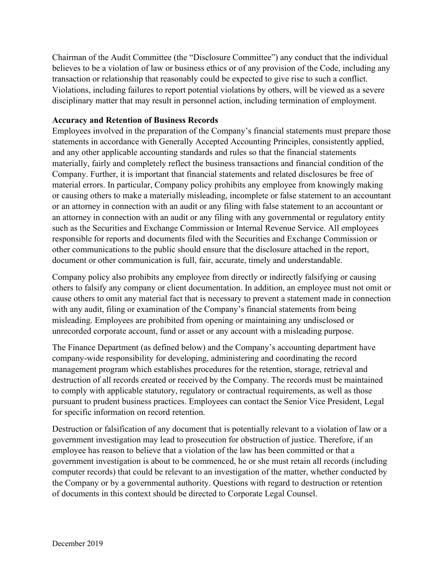Chairman of the Audit Committee (the "Disclosure Committee") any conduct that the individual believes to be a violation of law or business ethics or of any provision of the Code, including any transaction or relationship that reasonably could be expected to give rise to such a conflict. Violations, including failures to report potential violations by others, will be viewed as a severe disciplinary matter that may result in personnel action, including termination of employment.

### **Accuracy and Retention of Business Records**

Employees involved in the preparation of the Company's financial statements must prepare those statements in accordance with Generally Accepted Accounting Principles, consistently applied, and any other applicable accounting standards and rules so that the financial statements materially, fairly and completely reflect the business transactions and financial condition of the Company. Further, it is important that financial statements and related disclosures be free of material errors. In particular, Company policy prohibits any employee from knowingly making or causing others to make a materially misleading, incomplete or false statement to an accountant or an attorney in connection with an audit or any filing with false statement to an accountant or an attorney in connection with an audit or any filing with any governmental or regulatory entity such as the Securities and Exchange Commission or Internal Revenue Service. All employees responsible for reports and documents filed with the Securities and Exchange Commission or other communications to the public should ensure that the disclosure attached in the report, document or other communication is full, fair, accurate, timely and understandable.

Company policy also prohibits any employee from directly or indirectly falsifying or causing others to falsify any company or client documentation. In addition, an employee must not omit or cause others to omit any material fact that is necessary to prevent a statement made in connection with any audit, filing or examination of the Company's financial statements from being misleading. Employees are prohibited from opening or maintaining any undisclosed or unrecorded corporate account, fund or asset or any account with a misleading purpose.

The Finance Department (as defined below) and the Company's accounting department have company-wide responsibility for developing, administering and coordinating the record management program which establishes procedures for the retention, storage, retrieval and destruction of all records created or received by the Company. The records must be maintained to comply with applicable statutory, regulatory or contractual requirements, as well as those pursuant to prudent business practices. Employees can contact the Senior Vice President, Legal for specific information on record retention.

Destruction or falsification of any document that is potentially relevant to a violation of law or a government investigation may lead to prosecution for obstruction of justice. Therefore, if an employee has reason to believe that a violation of the law has been committed or that a government investigation is about to be commenced, he or she must retain all records (including computer records) that could be relevant to an investigation of the matter, whether conducted by the Company or by a governmental authority. Questions with regard to destruction or retention of documents in this context should be directed to Corporate Legal Counsel.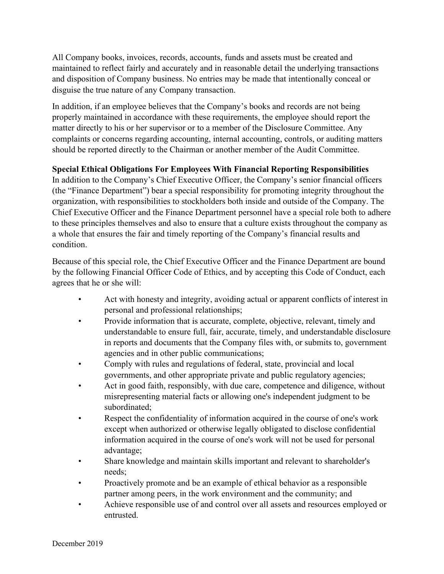All Company books, invoices, records, accounts, funds and assets must be created and maintained to reflect fairly and accurately and in reasonable detail the underlying transactions and disposition of Company business. No entries may be made that intentionally conceal or disguise the true nature of any Company transaction.

In addition, if an employee believes that the Company's books and records are not being properly maintained in accordance with these requirements, the employee should report the matter directly to his or her supervisor or to a member of the Disclosure Committee. Any complaints or concerns regarding accounting, internal accounting, controls, or auditing matters should be reported directly to the Chairman or another member of the Audit Committee.

### **Special Ethical Obligations For Employees With Financial Reporting Responsibilities**

In addition to the Company's Chief Executive Officer, the Company's senior financial officers (the "Finance Department") bear a special responsibility for promoting integrity throughout the organization, with responsibilities to stockholders both inside and outside of the Company. The Chief Executive Officer and the Finance Department personnel have a special role both to adhere to these principles themselves and also to ensure that a culture exists throughout the company as a whole that ensures the fair and timely reporting of the Company's financial results and condition.

Because of this special role, the Chief Executive Officer and the Finance Department are bound by the following Financial Officer Code of Ethics, and by accepting this Code of Conduct, each agrees that he or she will:

- Act with honesty and integrity, avoiding actual or apparent conflicts of interest in personal and professional relationships;
- Provide information that is accurate, complete, objective, relevant, timely and understandable to ensure full, fair, accurate, timely, and understandable disclosure in reports and documents that the Company files with, or submits to, government agencies and in other public communications;
- Comply with rules and regulations of federal, state, provincial and local governments, and other appropriate private and public regulatory agencies;
- Act in good faith, responsibly, with due care, competence and diligence, without misrepresenting material facts or allowing one's independent judgment to be subordinated;
- Respect the confidentiality of information acquired in the course of one's work except when authorized or otherwise legally obligated to disclose confidential information acquired in the course of one's work will not be used for personal advantage;
- Share knowledge and maintain skills important and relevant to shareholder's needs;
- Proactively promote and be an example of ethical behavior as a responsible partner among peers, in the work environment and the community; and
- Achieve responsible use of and control over all assets and resources employed or entrusted.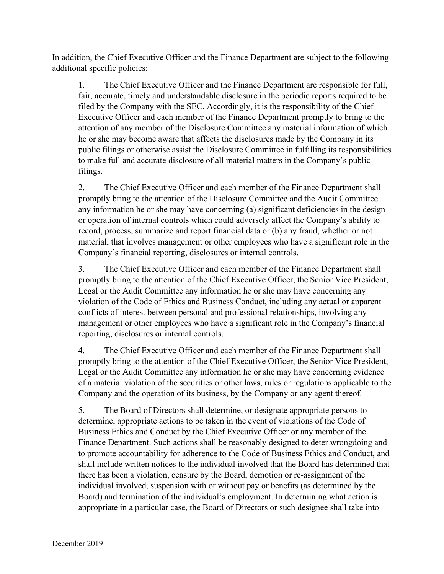In addition, the Chief Executive Officer and the Finance Department are subject to the following additional specific policies:

1. The Chief Executive Officer and the Finance Department are responsible for full, fair, accurate, timely and understandable disclosure in the periodic reports required to be filed by the Company with the SEC. Accordingly, it is the responsibility of the Chief Executive Officer and each member of the Finance Department promptly to bring to the attention of any member of the Disclosure Committee any material information of which he or she may become aware that affects the disclosures made by the Company in its public filings or otherwise assist the Disclosure Committee in fulfilling its responsibilities to make full and accurate disclosure of all material matters in the Company's public filings.

2. The Chief Executive Officer and each member of the Finance Department shall promptly bring to the attention of the Disclosure Committee and the Audit Committee any information he or she may have concerning (a) significant deficiencies in the design or operation of internal controls which could adversely affect the Company's ability to record, process, summarize and report financial data or (b) any fraud, whether or not material, that involves management or other employees who have a significant role in the Company's financial reporting, disclosures or internal controls.

3. The Chief Executive Officer and each member of the Finance Department shall promptly bring to the attention of the Chief Executive Officer, the Senior Vice President, Legal or the Audit Committee any information he or she may have concerning any violation of the Code of Ethics and Business Conduct, including any actual or apparent conflicts of interest between personal and professional relationships, involving any management or other employees who have a significant role in the Company's financial reporting, disclosures or internal controls.

4. The Chief Executive Officer and each member of the Finance Department shall promptly bring to the attention of the Chief Executive Officer, the Senior Vice President, Legal or the Audit Committee any information he or she may have concerning evidence of a material violation of the securities or other laws, rules or regulations applicable to the Company and the operation of its business, by the Company or any agent thereof.

5. The Board of Directors shall determine, or designate appropriate persons to determine, appropriate actions to be taken in the event of violations of the Code of Business Ethics and Conduct by the Chief Executive Officer or any member of the Finance Department. Such actions shall be reasonably designed to deter wrongdoing and to promote accountability for adherence to the Code of Business Ethics and Conduct, and shall include written notices to the individual involved that the Board has determined that there has been a violation, censure by the Board, demotion or re-assignment of the individual involved, suspension with or without pay or benefits (as determined by the Board) and termination of the individual's employment. In determining what action is appropriate in a particular case, the Board of Directors or such designee shall take into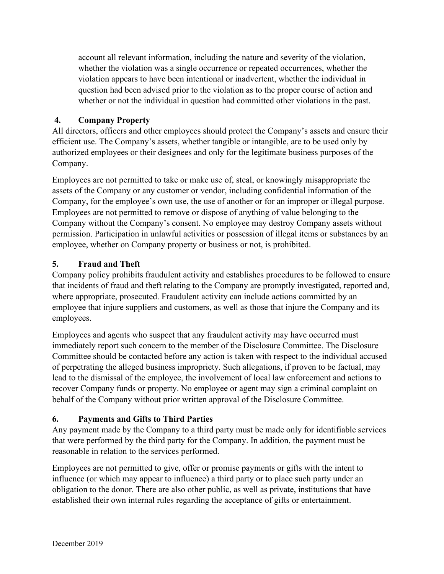account all relevant information, including the nature and severity of the violation, whether the violation was a single occurrence or repeated occurrences, whether the violation appears to have been intentional or inadvertent, whether the individual in question had been advised prior to the violation as to the proper course of action and whether or not the individual in question had committed other violations in the past.

# **4. Company Property**

All directors, officers and other employees should protect the Company's assets and ensure their efficient use. The Company's assets, whether tangible or intangible, are to be used only by authorized employees or their designees and only for the legitimate business purposes of the Company.

Employees are not permitted to take or make use of, steal, or knowingly misappropriate the assets of the Company or any customer or vendor, including confidential information of the Company, for the employee's own use, the use of another or for an improper or illegal purpose. Employees are not permitted to remove or dispose of anything of value belonging to the Company without the Company's consent. No employee may destroy Company assets without permission. Participation in unlawful activities or possession of illegal items or substances by an employee, whether on Company property or business or not, is prohibited.

# **5. Fraud and Theft**

Company policy prohibits fraudulent activity and establishes procedures to be followed to ensure that incidents of fraud and theft relating to the Company are promptly investigated, reported and, where appropriate, prosecuted. Fraudulent activity can include actions committed by an employee that injure suppliers and customers, as well as those that injure the Company and its employees.

Employees and agents who suspect that any fraudulent activity may have occurred must immediately report such concern to the member of the Disclosure Committee. The Disclosure Committee should be contacted before any action is taken with respect to the individual accused of perpetrating the alleged business impropriety. Such allegations, if proven to be factual, may lead to the dismissal of the employee, the involvement of local law enforcement and actions to recover Company funds or property. No employee or agent may sign a criminal complaint on behalf of the Company without prior written approval of the Disclosure Committee.

# **6. Payments and Gifts to Third Parties**

Any payment made by the Company to a third party must be made only for identifiable services that were performed by the third party for the Company. In addition, the payment must be reasonable in relation to the services performed.

Employees are not permitted to give, offer or promise payments or gifts with the intent to influence (or which may appear to influence) a third party or to place such party under an obligation to the donor. There are also other public, as well as private, institutions that have established their own internal rules regarding the acceptance of gifts or entertainment.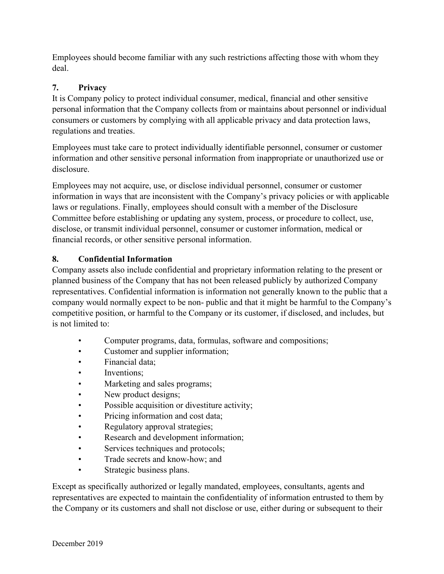Employees should become familiar with any such restrictions affecting those with whom they deal.

# **7. Privacy**

It is Company policy to protect individual consumer, medical, financial and other sensitive personal information that the Company collects from or maintains about personnel or individual consumers or customers by complying with all applicable privacy and data protection laws, regulations and treaties.

Employees must take care to protect individually identifiable personnel, consumer or customer information and other sensitive personal information from inappropriate or unauthorized use or disclosure.

Employees may not acquire, use, or disclose individual personnel, consumer or customer information in ways that are inconsistent with the Company's privacy policies or with applicable laws or regulations. Finally, employees should consult with a member of the Disclosure Committee before establishing or updating any system, process, or procedure to collect, use, disclose, or transmit individual personnel, consumer or customer information, medical or financial records, or other sensitive personal information.

# **8. Confidential Information**

Company assets also include confidential and proprietary information relating to the present or planned business of the Company that has not been released publicly by authorized Company representatives. Confidential information is information not generally known to the public that a company would normally expect to be non- public and that it might be harmful to the Company's competitive position, or harmful to the Company or its customer, if disclosed, and includes, but is not limited to:

- Computer programs, data, formulas, software and compositions;
- Customer and supplier information;
- Financial data;
- Inventions:
- Marketing and sales programs;
- New product designs;
- Possible acquisition or divestiture activity;
- Pricing information and cost data;
- Regulatory approval strategies;
- Research and development information;
- Services techniques and protocols;
- Trade secrets and know-how; and
- Strategic business plans.

Except as specifically authorized or legally mandated, employees, consultants, agents and representatives are expected to maintain the confidentiality of information entrusted to them by the Company or its customers and shall not disclose or use, either during or subsequent to their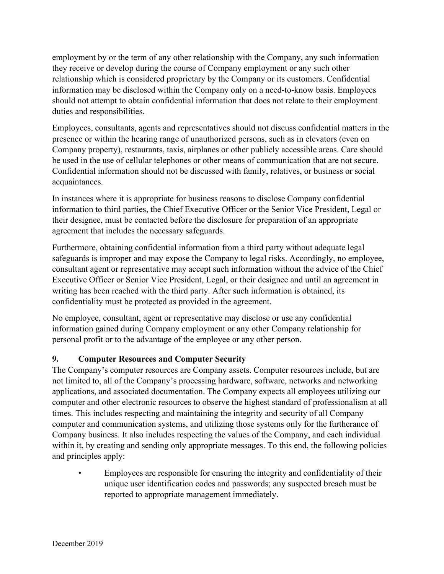employment by or the term of any other relationship with the Company, any such information they receive or develop during the course of Company employment or any such other relationship which is considered proprietary by the Company or its customers. Confidential information may be disclosed within the Company only on a need-to-know basis. Employees should not attempt to obtain confidential information that does not relate to their employment duties and responsibilities.

Employees, consultants, agents and representatives should not discuss confidential matters in the presence or within the hearing range of unauthorized persons, such as in elevators (even on Company property), restaurants, taxis, airplanes or other publicly accessible areas. Care should be used in the use of cellular telephones or other means of communication that are not secure. Confidential information should not be discussed with family, relatives, or business or social acquaintances.

In instances where it is appropriate for business reasons to disclose Company confidential information to third parties, the Chief Executive Officer or the Senior Vice President, Legal or their designee, must be contacted before the disclosure for preparation of an appropriate agreement that includes the necessary safeguards.

Furthermore, obtaining confidential information from a third party without adequate legal safeguards is improper and may expose the Company to legal risks. Accordingly, no employee, consultant agent or representative may accept such information without the advice of the Chief Executive Officer or Senior Vice President, Legal, or their designee and until an agreement in writing has been reached with the third party. After such information is obtained, its confidentiality must be protected as provided in the agreement.

No employee, consultant, agent or representative may disclose or use any confidential information gained during Company employment or any other Company relationship for personal profit or to the advantage of the employee or any other person.

# **9. Computer Resources and Computer Security**

The Company's computer resources are Company assets. Computer resources include, but are not limited to, all of the Company's processing hardware, software, networks and networking applications, and associated documentation. The Company expects all employees utilizing our computer and other electronic resources to observe the highest standard of professionalism at all times. This includes respecting and maintaining the integrity and security of all Company computer and communication systems, and utilizing those systems only for the furtherance of Company business. It also includes respecting the values of the Company, and each individual within it, by creating and sending only appropriate messages. To this end, the following policies and principles apply:

• Employees are responsible for ensuring the integrity and confidentiality of their unique user identification codes and passwords; any suspected breach must be reported to appropriate management immediately.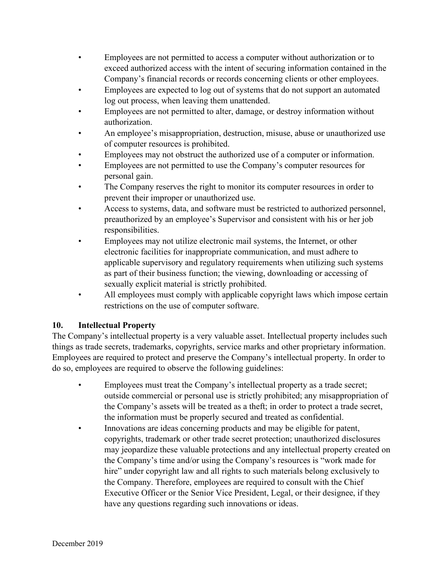- Employees are not permitted to access a computer without authorization or to exceed authorized access with the intent of securing information contained in the Company's financial records or records concerning clients or other employees.
- Employees are expected to log out of systems that do not support an automated log out process, when leaving them unattended.
- Employees are not permitted to alter, damage, or destroy information without authorization.
- An employee's misappropriation, destruction, misuse, abuse or unauthorized use of computer resources is prohibited.
- Employees may not obstruct the authorized use of a computer or information.
- Employees are not permitted to use the Company's computer resources for personal gain.
- The Company reserves the right to monitor its computer resources in order to prevent their improper or unauthorized use.
- Access to systems, data, and software must be restricted to authorized personnel, preauthorized by an employee's Supervisor and consistent with his or her job responsibilities.
- Employees may not utilize electronic mail systems, the Internet, or other electronic facilities for inappropriate communication, and must adhere to applicable supervisory and regulatory requirements when utilizing such systems as part of their business function; the viewing, downloading or accessing of sexually explicit material is strictly prohibited.
- All employees must comply with applicable copyright laws which impose certain restrictions on the use of computer software.

# **10. Intellectual Property**

The Company's intellectual property is a very valuable asset. Intellectual property includes such things as trade secrets, trademarks, copyrights, service marks and other proprietary information. Employees are required to protect and preserve the Company's intellectual property. In order to do so, employees are required to observe the following guidelines:

- Employees must treat the Company's intellectual property as a trade secret; outside commercial or personal use is strictly prohibited; any misappropriation of the Company's assets will be treated as a theft; in order to protect a trade secret, the information must be properly secured and treated as confidential.
- Innovations are ideas concerning products and may be eligible for patent, copyrights, trademark or other trade secret protection; unauthorized disclosures may jeopardize these valuable protections and any intellectual property created on the Company's time and/or using the Company's resources is "work made for hire" under copyright law and all rights to such materials belong exclusively to the Company. Therefore, employees are required to consult with the Chief Executive Officer or the Senior Vice President, Legal, or their designee, if they have any questions regarding such innovations or ideas.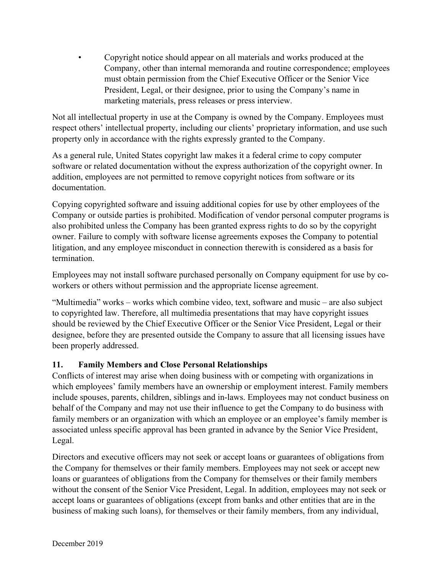• Copyright notice should appear on all materials and works produced at the Company, other than internal memoranda and routine correspondence; employees must obtain permission from the Chief Executive Officer or the Senior Vice President, Legal, or their designee, prior to using the Company's name in marketing materials, press releases or press interview.

Not all intellectual property in use at the Company is owned by the Company. Employees must respect others' intellectual property, including our clients' proprietary information, and use such property only in accordance with the rights expressly granted to the Company.

As a general rule, United States copyright law makes it a federal crime to copy computer software or related documentation without the express authorization of the copyright owner. In addition, employees are not permitted to remove copyright notices from software or its documentation.

Copying copyrighted software and issuing additional copies for use by other employees of the Company or outside parties is prohibited. Modification of vendor personal computer programs is also prohibited unless the Company has been granted express rights to do so by the copyright owner. Failure to comply with software license agreements exposes the Company to potential litigation, and any employee misconduct in connection therewith is considered as a basis for termination.

Employees may not install software purchased personally on Company equipment for use by coworkers or others without permission and the appropriate license agreement.

"Multimedia" works – works which combine video, text, software and music – are also subject to copyrighted law. Therefore, all multimedia presentations that may have copyright issues should be reviewed by the Chief Executive Officer or the Senior Vice President, Legal or their designee, before they are presented outside the Company to assure that all licensing issues have been properly addressed.

# **11. Family Members and Close Personal Relationships**

Conflicts of interest may arise when doing business with or competing with organizations in which employees' family members have an ownership or employment interest. Family members include spouses, parents, children, siblings and in-laws. Employees may not conduct business on behalf of the Company and may not use their influence to get the Company to do business with family members or an organization with which an employee or an employee's family member is associated unless specific approval has been granted in advance by the Senior Vice President, Legal.

Directors and executive officers may not seek or accept loans or guarantees of obligations from the Company for themselves or their family members. Employees may not seek or accept new loans or guarantees of obligations from the Company for themselves or their family members without the consent of the Senior Vice President, Legal. In addition, employees may not seek or accept loans or guarantees of obligations (except from banks and other entities that are in the business of making such loans), for themselves or their family members, from any individual,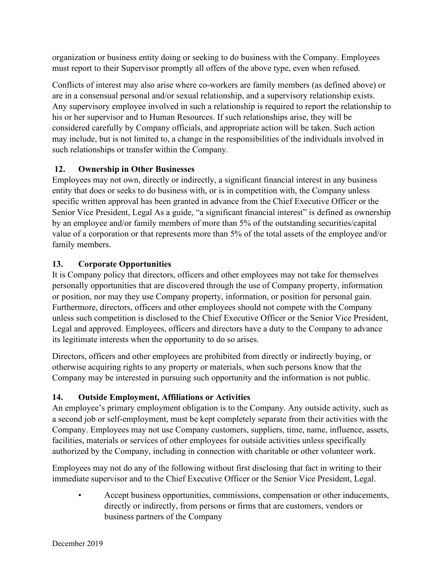organization or business entity doing or seeking to do business with the Company. Employees must report to their Supervisor promptly all offers of the above type, even when refused.

Conflicts of interest may also arise where co-workers are family members (as defined above) or are in a consensual personal and/or sexual relationship, and a supervisory relationship exists. Any supervisory employee involved in such a relationship is required to report the relationship to his or her supervisor and to Human Resources. If such relationships arise, they will be considered carefully by Company officials, and appropriate action will be taken. Such action may include, but is not limited to, a change in the responsibilities of the individuals involved in such relationships or transfer within the Company.

# **12. Ownership in Other Businesses**

Employees may not own, directly or indirectly, a significant financial interest in any business entity that does or seeks to do business with, or is in competition with, the Company unless specific written approval has been granted in advance from the Chief Executive Officer or the Senior Vice President, Legal As a guide, "a significant financial interest" is defined as ownership by an employee and/or family members of more than 5% of the outstanding securities/capital value of a corporation or that represents more than 5% of the total assets of the employee and/or family members.

# **13. Corporate Opportunities**

It is Company policy that directors, officers and other employees may not take for themselves personally opportunities that are discovered through the use of Company property, information or position, nor may they use Company property, information, or position for personal gain. Furthermore, directors, officers and other employees should not compete with the Company unless such competition is disclosed to the Chief Executive Officer or the Senior Vice President, Legal and approved. Employees, officers and directors have a duty to the Company to advance its legitimate interests when the opportunity to do so arises.

Directors, officers and other employees are prohibited from directly or indirectly buying, or otherwise acquiring rights to any property or materials, when such persons know that the Company may be interested in pursuing such opportunity and the information is not public.

# **14. Outside Employment, Affiliations or Activities**

An employee's primary employment obligation is to the Company. Any outside activity, such as a second job or self-employment, must be kept completely separate from their activities with the Company. Employees may not use Company customers, suppliers, time, name, influence, assets, facilities, materials or services of other employees for outside activities unless specifically authorized by the Company, including in connection with charitable or other volunteer work.

Employees may not do any of the following without first disclosing that fact in writing to their immediate supervisor and to the Chief Executive Officer or the Senior Vice President, Legal.

• Accept business opportunities, commissions, compensation or other inducements, directly or indirectly, from persons or firms that are customers, vendors or business partners of the Company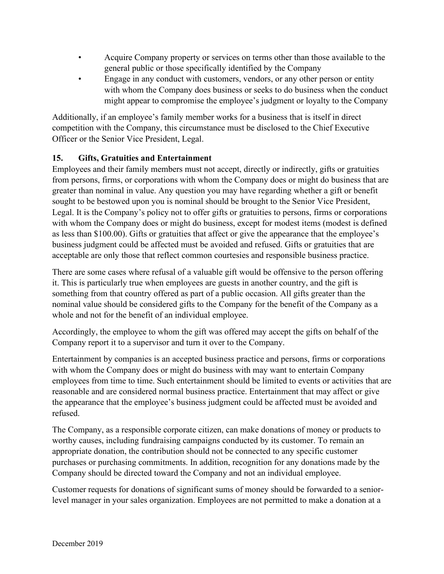- Acquire Company property or services on terms other than those available to the general public or those specifically identified by the Company
- Engage in any conduct with customers, vendors, or any other person or entity with whom the Company does business or seeks to do business when the conduct might appear to compromise the employee's judgment or loyalty to the Company

Additionally, if an employee's family member works for a business that is itself in direct competition with the Company, this circumstance must be disclosed to the Chief Executive Officer or the Senior Vice President, Legal.

# **15. Gifts, Gratuities and Entertainment**

Employees and their family members must not accept, directly or indirectly, gifts or gratuities from persons, firms, or corporations with whom the Company does or might do business that are greater than nominal in value. Any question you may have regarding whether a gift or benefit sought to be bestowed upon you is nominal should be brought to the Senior Vice President, Legal. It is the Company's policy not to offer gifts or gratuities to persons, firms or corporations with whom the Company does or might do business, except for modest items (modest is defined as less than \$100.00). Gifts or gratuities that affect or give the appearance that the employee's business judgment could be affected must be avoided and refused. Gifts or gratuities that are acceptable are only those that reflect common courtesies and responsible business practice.

There are some cases where refusal of a valuable gift would be offensive to the person offering it. This is particularly true when employees are guests in another country, and the gift is something from that country offered as part of a public occasion. All gifts greater than the nominal value should be considered gifts to the Company for the benefit of the Company as a whole and not for the benefit of an individual employee.

Accordingly, the employee to whom the gift was offered may accept the gifts on behalf of the Company report it to a supervisor and turn it over to the Company.

Entertainment by companies is an accepted business practice and persons, firms or corporations with whom the Company does or might do business with may want to entertain Company employees from time to time. Such entertainment should be limited to events or activities that are reasonable and are considered normal business practice. Entertainment that may affect or give the appearance that the employee's business judgment could be affected must be avoided and refused.

The Company, as a responsible corporate citizen, can make donations of money or products to worthy causes, including fundraising campaigns conducted by its customer. To remain an appropriate donation, the contribution should not be connected to any specific customer purchases or purchasing commitments. In addition, recognition for any donations made by the Company should be directed toward the Company and not an individual employee.

Customer requests for donations of significant sums of money should be forwarded to a seniorlevel manager in your sales organization. Employees are not permitted to make a donation at a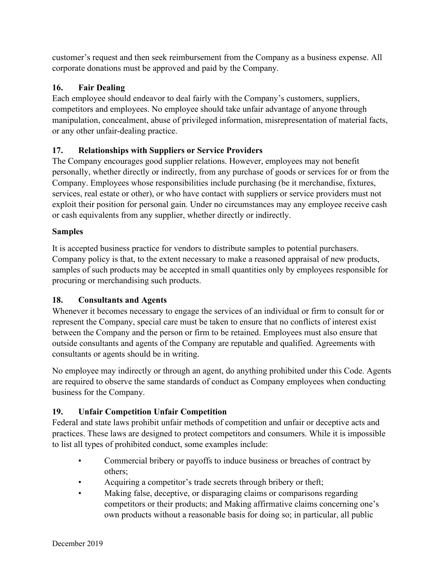customer's request and then seek reimbursement from the Company as a business expense. All corporate donations must be approved and paid by the Company.

# **16. Fair Dealing**

Each employee should endeavor to deal fairly with the Company's customers, suppliers, competitors and employees. No employee should take unfair advantage of anyone through manipulation, concealment, abuse of privileged information, misrepresentation of material facts, or any other unfair-dealing practice.

# **17. Relationships with Suppliers or Service Providers**

The Company encourages good supplier relations. However, employees may not benefit personally, whether directly or indirectly, from any purchase of goods or services for or from the Company. Employees whose responsibilities include purchasing (be it merchandise, fixtures, services, real estate or other), or who have contact with suppliers or service providers must not exploit their position for personal gain. Under no circumstances may any employee receive cash or cash equivalents from any supplier, whether directly or indirectly.

### **Samples**

It is accepted business practice for vendors to distribute samples to potential purchasers. Company policy is that, to the extent necessary to make a reasoned appraisal of new products, samples of such products may be accepted in small quantities only by employees responsible for procuring or merchandising such products.

# **18. Consultants and Agents**

Whenever it becomes necessary to engage the services of an individual or firm to consult for or represent the Company, special care must be taken to ensure that no conflicts of interest exist between the Company and the person or firm to be retained. Employees must also ensure that outside consultants and agents of the Company are reputable and qualified. Agreements with consultants or agents should be in writing.

No employee may indirectly or through an agent, do anything prohibited under this Code. Agents are required to observe the same standards of conduct as Company employees when conducting business for the Company.

# **19. Unfair Competition Unfair Competition**

Federal and state laws prohibit unfair methods of competition and unfair or deceptive acts and practices. These laws are designed to protect competitors and consumers. While it is impossible to list all types of prohibited conduct, some examples include:

- Commercial bribery or payoffs to induce business or breaches of contract by others;
- Acquiring a competitor's trade secrets through bribery or theft;
- Making false, deceptive, or disparaging claims or comparisons regarding competitors or their products; and Making affirmative claims concerning one's own products without a reasonable basis for doing so; in particular, all public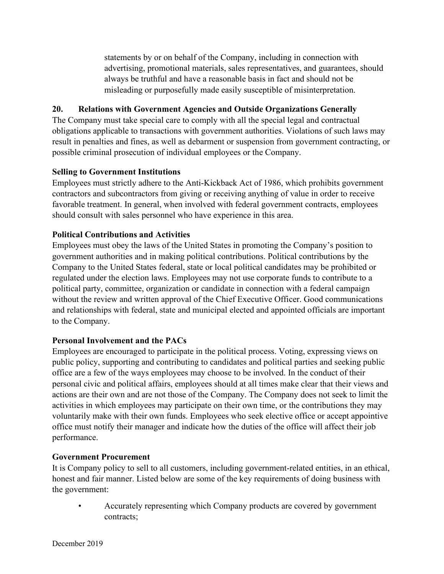statements by or on behalf of the Company, including in connection with advertising, promotional materials, sales representatives, and guarantees, should always be truthful and have a reasonable basis in fact and should not be misleading or purposefully made easily susceptible of misinterpretation.

### **20. Relations with Government Agencies and Outside Organizations Generally**

The Company must take special care to comply with all the special legal and contractual obligations applicable to transactions with government authorities. Violations of such laws may result in penalties and fines, as well as debarment or suspension from government contracting, or possible criminal prosecution of individual employees or the Company.

### **Selling to Government Institutions**

Employees must strictly adhere to the Anti-Kickback Act of 1986, which prohibits government contractors and subcontractors from giving or receiving anything of value in order to receive favorable treatment. In general, when involved with federal government contracts, employees should consult with sales personnel who have experience in this area.

#### **Political Contributions and Activities**

Employees must obey the laws of the United States in promoting the Company's position to government authorities and in making political contributions. Political contributions by the Company to the United States federal, state or local political candidates may be prohibited or regulated under the election laws. Employees may not use corporate funds to contribute to a political party, committee, organization or candidate in connection with a federal campaign without the review and written approval of the Chief Executive Officer. Good communications and relationships with federal, state and municipal elected and appointed officials are important to the Company.

### **Personal Involvement and the PACs**

Employees are encouraged to participate in the political process. Voting, expressing views on public policy, supporting and contributing to candidates and political parties and seeking public office are a few of the ways employees may choose to be involved. In the conduct of their personal civic and political affairs, employees should at all times make clear that their views and actions are their own and are not those of the Company. The Company does not seek to limit the activities in which employees may participate on their own time, or the contributions they may voluntarily make with their own funds. Employees who seek elective office or accept appointive office must notify their manager and indicate how the duties of the office will affect their job performance.

#### **Government Procurement**

It is Company policy to sell to all customers, including government-related entities, in an ethical, honest and fair manner. Listed below are some of the key requirements of doing business with the government:

• Accurately representing which Company products are covered by government contracts;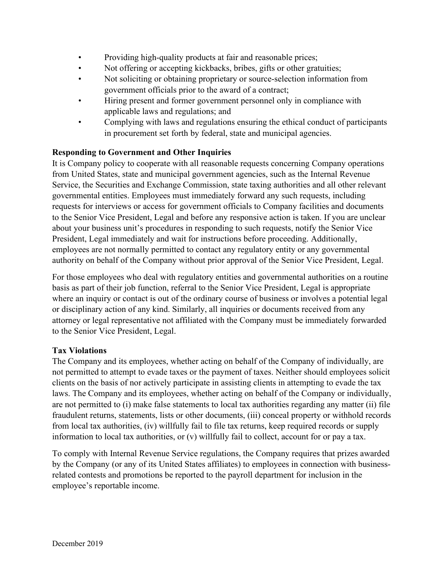- Providing high-quality products at fair and reasonable prices;
- Not offering or accepting kickbacks, bribes, gifts or other gratuities;
- Not soliciting or obtaining proprietary or source-selection information from government officials prior to the award of a contract;
- Hiring present and former government personnel only in compliance with applicable laws and regulations; and
- Complying with laws and regulations ensuring the ethical conduct of participants in procurement set forth by federal, state and municipal agencies.

# **Responding to Government and Other Inquiries**

It is Company policy to cooperate with all reasonable requests concerning Company operations from United States, state and municipal government agencies, such as the Internal Revenue Service, the Securities and Exchange Commission, state taxing authorities and all other relevant governmental entities. Employees must immediately forward any such requests, including requests for interviews or access for government officials to Company facilities and documents to the Senior Vice President, Legal and before any responsive action is taken. If you are unclear about your business unit's procedures in responding to such requests, notify the Senior Vice President, Legal immediately and wait for instructions before proceeding. Additionally, employees are not normally permitted to contact any regulatory entity or any governmental authority on behalf of the Company without prior approval of the Senior Vice President, Legal.

For those employees who deal with regulatory entities and governmental authorities on a routine basis as part of their job function, referral to the Senior Vice President, Legal is appropriate where an inquiry or contact is out of the ordinary course of business or involves a potential legal or disciplinary action of any kind. Similarly, all inquiries or documents received from any attorney or legal representative not affiliated with the Company must be immediately forwarded to the Senior Vice President, Legal.

### **Tax Violations**

The Company and its employees, whether acting on behalf of the Company of individually, are not permitted to attempt to evade taxes or the payment of taxes. Neither should employees solicit clients on the basis of nor actively participate in assisting clients in attempting to evade the tax laws. The Company and its employees, whether acting on behalf of the Company or individually, are not permitted to (i) make false statements to local tax authorities regarding any matter (ii) file fraudulent returns, statements, lists or other documents, (iii) conceal property or withhold records from local tax authorities, (iv) willfully fail to file tax returns, keep required records or supply information to local tax authorities, or (v) willfully fail to collect, account for or pay a tax.

To comply with Internal Revenue Service regulations, the Company requires that prizes awarded by the Company (or any of its United States affiliates) to employees in connection with businessrelated contests and promotions be reported to the payroll department for inclusion in the employee's reportable income.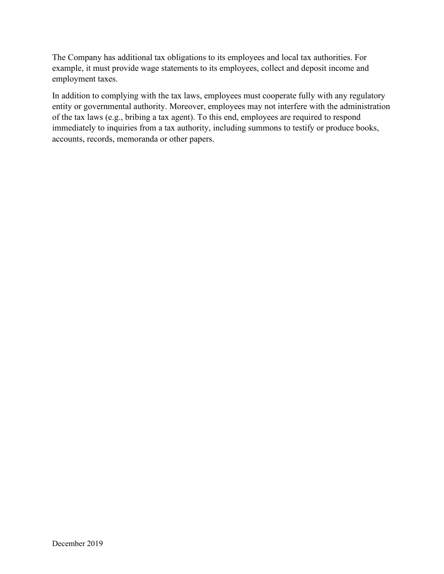The Company has additional tax obligations to its employees and local tax authorities. For example, it must provide wage statements to its employees, collect and deposit income and employment taxes.

In addition to complying with the tax laws, employees must cooperate fully with any regulatory entity or governmental authority. Moreover, employees may not interfere with the administration of the tax laws (e.g., bribing a tax agent). To this end, employees are required to respond immediately to inquiries from a tax authority, including summons to testify or produce books, accounts, records, memoranda or other papers.